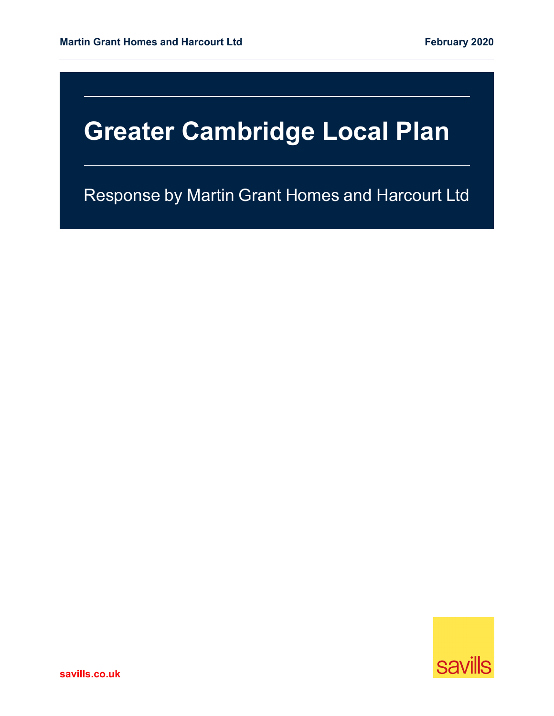Response by Martin Grant Homes and Harcourt Ltd

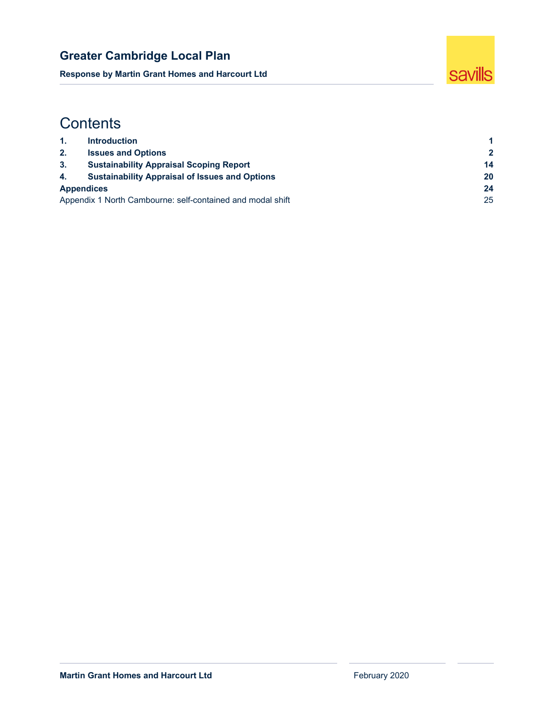**Response by Martin Grant Homes and Harcourt Ltd** 



# **Contents**

| -1.                                                        | <b>Introduction</b>                                   |              |  |
|------------------------------------------------------------|-------------------------------------------------------|--------------|--|
| 2.                                                         | <b>Issues and Options</b>                             | $\mathbf{2}$ |  |
| 3 <sub>1</sub>                                             | <b>Sustainability Appraisal Scoping Report</b>        | 14           |  |
| 4.                                                         | <b>Sustainability Appraisal of Issues and Options</b> | 20           |  |
| <b>Appendices</b>                                          |                                                       |              |  |
| Appendix 1 North Cambourne: self-contained and modal shift |                                                       |              |  |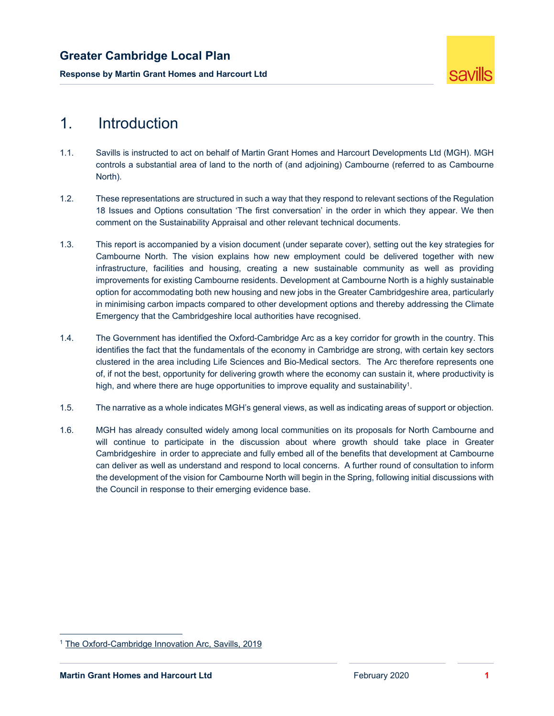**Response by Martin Grant Homes and Harcourt Ltd** 



# 1. Introduction

- 1.1. Savills is instructed to act on behalf of Martin Grant Homes and Harcourt Developments Ltd (MGH). MGH controls a substantial area of land to the north of (and adjoining) Cambourne (referred to as Cambourne North).
- 1.2. These representations are structured in such a way that they respond to relevant sections of the Regulation 18 Issues and Options consultation 'The first conversation' in the order in which they appear. We then comment on the Sustainability Appraisal and other relevant technical documents.
- 1.3. This report is accompanied by a vision document (under separate cover), setting out the key strategies for Cambourne North. The vision explains how new employment could be delivered together with new infrastructure, facilities and housing, creating a new sustainable community as well as providing improvements for existing Cambourne residents. Development at Cambourne North is a highly sustainable option for accommodating both new housing and new jobs in the Greater Cambridgeshire area, particularly in minimising carbon impacts compared to other development options and thereby addressing the Climate Emergency that the Cambridgeshire local authorities have recognised.
- 1.4. The Government has identified the Oxford-Cambridge Arc as a key corridor for growth in the country. This identifies the fact that the fundamentals of the economy in Cambridge are strong, with certain key sectors clustered in the area including Life Sciences and Bio-Medical sectors. The Arc therefore represents one of, if not the best, opportunity for delivering growth where the economy can sustain it, where productivity is high, and where there are huge opportunities to improve equality and sustainability<sup>1</sup>.
- 1.5. The narrative as a whole indicates MGH's general views, as well as indicating areas of support or objection.
- 1.6. MGH has already consulted widely among local communities on its proposals for North Cambourne and will continue to participate in the discussion about where growth should take place in Greater Cambridgeshire in order to appreciate and fully embed all of the benefits that development at Cambourne can deliver as well as understand and respond to local concerns. A further round of consultation to inform the development of the vision for Cambourne North will begin in the Spring, following initial discussions with the Council in response to their emerging evidence base.

<sup>1</sup> The Oxford-Cambridge Innovation Arc, Savills, 2019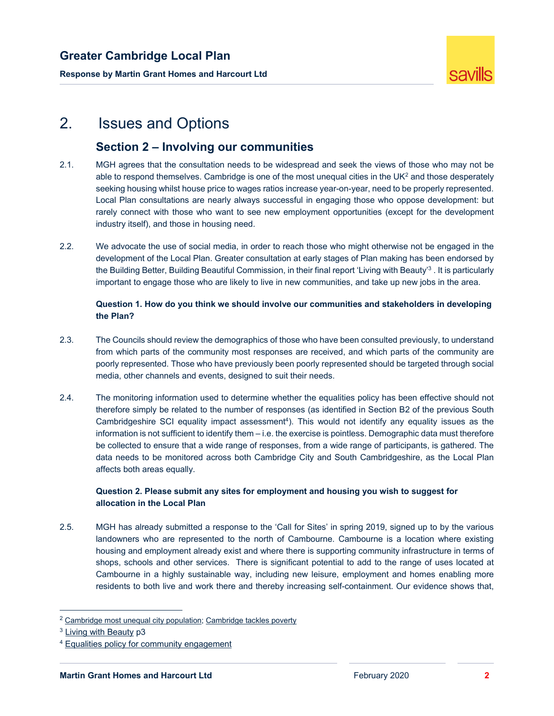**Response by Martin Grant Homes and Harcourt Ltd** 



# 2. Issues and Options

### **Section 2 – Involving our communities**

- 2.1. MGH agrees that the consultation needs to be widespread and seek the views of those who may not be able to respond themselves. Cambridge is one of the most unequal cities in the UK $2$  and those desperately seeking housing whilst house price to wages ratios increase year-on-year, need to be properly represented. Local Plan consultations are nearly always successful in engaging those who oppose development: but rarely connect with those who want to see new employment opportunities (except for the development industry itself), and those in housing need.
- 2.2. We advocate the use of social media, in order to reach those who might otherwise not be engaged in the development of the Local Plan. Greater consultation at early stages of Plan making has been endorsed by the Building Better, Building Beautiful Commission, in their final report 'Living with Beauty'3 . It is particularly important to engage those who are likely to live in new communities, and take up new jobs in the area.

### **Question 1. How do you think we should involve our communities and stakeholders in developing the Plan?**

- 2.3. The Councils should review the demographics of those who have been consulted previously, to understand from which parts of the community most responses are received, and which parts of the community are poorly represented. Those who have previously been poorly represented should be targeted through social media, other channels and events, designed to suit their needs.
- 2.4. The monitoring information used to determine whether the equalities policy has been effective should not therefore simply be related to the number of responses (as identified in Section B2 of the previous South Cambridgeshire SCI equality impact assessment4). This would not identify any equality issues as the information is not sufficient to identify them – i.e. the exercise is pointless. Demographic data must therefore be collected to ensure that a wide range of responses, from a wide range of participants, is gathered. The data needs to be monitored across both Cambridge City and South Cambridgeshire, as the Local Plan affects both areas equally.

### **Question 2. Please submit any sites for employment and housing you wish to suggest for allocation in the Local Plan**

2.5. MGH has already submitted a response to the 'Call for Sites' in spring 2019, signed up to by the various landowners who are represented to the north of Cambourne. Cambourne is a location where existing housing and employment already exist and where there is supporting community infrastructure in terms of shops, schools and other services. There is significant potential to add to the range of uses located at Cambourne in a highly sustainable way, including new leisure, employment and homes enabling more residents to both live and work there and thereby increasing self-containment. Our evidence shows that,

<sup>&</sup>lt;sup>2</sup> Cambridge most unequal city population; Cambridge tackles poverty

<sup>3</sup> Living with Beauty p3

<sup>4</sup> Equalities policy for community engagement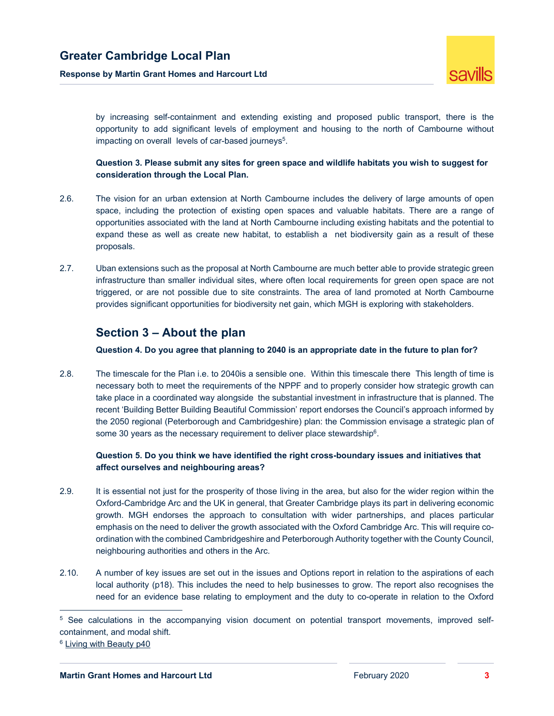**Response by Martin Grant Homes and Harcourt Ltd** 



by increasing self-containment and extending existing and proposed public transport, there is the opportunity to add significant levels of employment and housing to the north of Cambourne without impacting on overall levels of car-based journeys<sup>5</sup>.

 **Question 3. Please submit any sites for green space and wildlife habitats you wish to suggest for consideration through the Local Plan.** 

- 2.6. The vision for an urban extension at North Cambourne includes the delivery of large amounts of open space, including the protection of existing open spaces and valuable habitats. There are a range of opportunities associated with the land at North Cambourne including existing habitats and the potential to expand these as well as create new habitat, to establish a net biodiversity gain as a result of these proposals.
- 2.7. Uban extensions such as the proposal at North Cambourne are much better able to provide strategic green infrastructure than smaller individual sites, where often local requirements for green open space are not triggered, or are not possible due to site constraints. The area of land promoted at North Cambourne provides significant opportunities for biodiversity net gain, which MGH is exploring with stakeholders.

### **Section 3 – About the plan**

 **Question 4. Do you agree that planning to 2040 is an appropriate date in the future to plan for?** 

2.8. The timescale for the Plan i.e. to 2040is a sensible one. Within this timescale there This length of time is necessary both to meet the requirements of the NPPF and to properly consider how strategic growth can take place in a coordinated way alongside the substantial investment in infrastructure that is planned. The recent 'Building Better Building Beautiful Commission' report endorses the Council's approach informed by the 2050 regional (Peterborough and Cambridgeshire) plan: the Commission envisage a strategic plan of some 30 years as the necessary requirement to deliver place stewardship<sup>6</sup>.

### **Question 5. Do you think we have identified the right cross-boundary issues and initiatives that affect ourselves and neighbouring areas?**

- 2.9. It is essential not just for the prosperity of those living in the area, but also for the wider region within the Oxford-Cambridge Arc and the UK in general, that Greater Cambridge plays its part in delivering economic growth. MGH endorses the approach to consultation with wider partnerships, and places particular emphasis on the need to deliver the growth associated with the Oxford Cambridge Arc. This will require coordination with the combined Cambridgeshire and Peterborough Authority together with the County Council, neighbouring authorities and others in the Arc.
- 2.10. A number of key issues are set out in the issues and Options report in relation to the aspirations of each local authority (p18). This includes the need to help businesses to grow. The report also recognises the need for an evidence base relating to employment and the duty to co-operate in relation to the Oxford

<sup>5</sup> See calculations in the accompanying vision document on potential transport movements, improved selfcontainment, and modal shift.

<sup>6</sup> Living with Beauty p40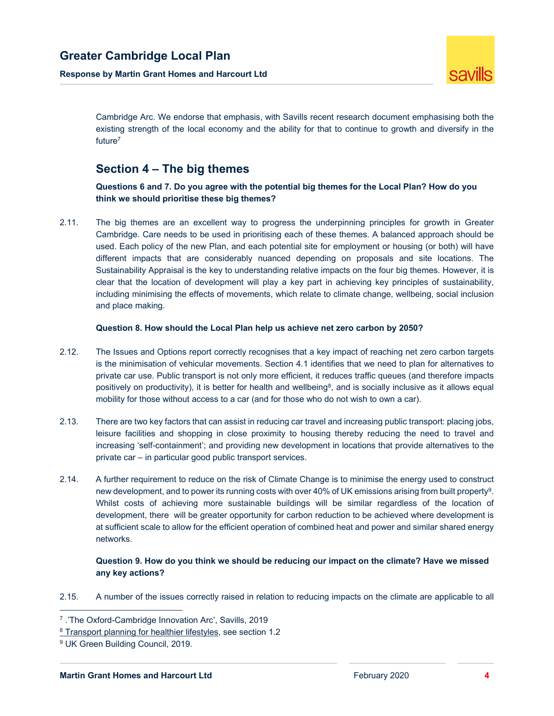**Response by Martin Grant Homes and Harcourt Ltd** 



Cambridge Arc. We endorse that emphasis, with Savills recent research document emphasising both the existing strength of the local economy and the ability for that to continue to growth and diversify in the future7

### **Section 4 – The big themes**

 **Questions 6 and 7. Do you agree with the potential big themes for the Local Plan? How do you think we should prioritise these big themes?** 

2.11. The big themes are an excellent way to progress the underpinning principles for growth in Greater Cambridge. Care needs to be used in prioritising each of these themes. A balanced approach should be used. Each policy of the new Plan, and each potential site for employment or housing (or both) will have different impacts that are considerably nuanced depending on proposals and site locations. The Sustainability Appraisal is the key to understanding relative impacts on the four big themes. However, it is clear that the location of development will play a key part in achieving key principles of sustainability, including minimising the effects of movements, which relate to climate change, wellbeing, social inclusion and place making.

### **Question 8. How should the Local Plan help us achieve net zero carbon by 2050?**

- 2.12. The Issues and Options report correctly recognises that a key impact of reaching net zero carbon targets is the minimisation of vehicular movements. Section 4.1 identifies that we need to plan for alternatives to private car use. Public transport is not only more efficient, it reduces traffic queues (and therefore impacts positively on productivity), it is better for health and wellbeing<sup>8</sup>, and is socially inclusive as it allows equal mobility for those without access to a car (and for those who do not wish to own a car).
- 2.13. There are two key factors that can assist in reducing car travel and increasing public transport: placing jobs, leisure facilities and shopping in close proximity to housing thereby reducing the need to travel and increasing 'self-containment'; and providing new development in locations that provide alternatives to the private car – in particular good public transport services.
- 2.14. A further requirement to reduce on the risk of Climate Change is to minimise the energy used to construct new development, and to power its running costs with over 40% of UK emissions arising from built property<sup>9</sup>. Whilst costs of achieving more sustainable buildings will be similar regardless of the location of development, there will be greater opportunity for carbon reduction to be achieved where development is at sufficient scale to allow for the efficient operation of combined heat and power and similar shared energy networks.

### **Question 9. How do you think we should be reducing our impact on the climate? Have we missed any key actions?**

2.15. A number of the issues correctly raised in relation to reducing impacts on the climate are applicable to all

<sup>7 .&#</sup>x27;The Oxford-Cambridge Innovation Arc', Savills, 2019

<sup>8</sup> Transport planning for healthier lifestyles, see section 1.2

<sup>9</sup> UK Green Building Council, 2019.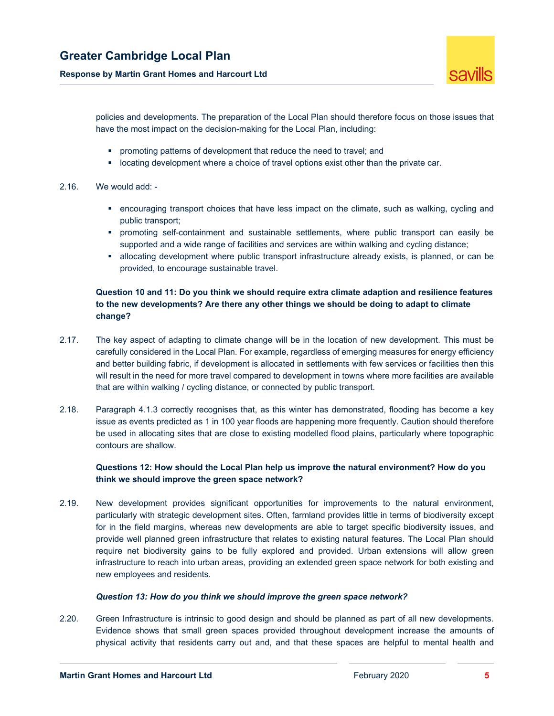

policies and developments. The preparation of the Local Plan should therefore focus on those issues that have the most impact on the decision-making for the Local Plan, including:

- **•** promoting patterns of development that reduce the need to travel; and
- **-** locating development where a choice of travel options exist other than the private car.

### 2.16. We would add: -

- encouraging transport choices that have less impact on the climate, such as walking, cycling and public transport;
- promoting self-containment and sustainable settlements, where public transport can easily be supported and a wide range of facilities and services are within walking and cycling distance;
- allocating development where public transport infrastructure already exists, is planned, or can be provided, to encourage sustainable travel.

### **Question 10 and 11: Do you think we should require extra climate adaption and resilience features to the new developments? Are there any other things we should be doing to adapt to climate change?**

- 2.17. The key aspect of adapting to climate change will be in the location of new development. This must be carefully considered in the Local Plan. For example, regardless of emerging measures for energy efficiency and better building fabric, if development is allocated in settlements with few services or facilities then this will result in the need for more travel compared to development in towns where more facilities are available that are within walking / cycling distance, or connected by public transport.
- 2.18. Paragraph 4.1.3 correctly recognises that, as this winter has demonstrated, flooding has become a key issue as events predicted as 1 in 100 year floods are happening more frequently. Caution should therefore be used in allocating sites that are close to existing modelled flood plains, particularly where topographic contours are shallow.

### **Questions 12: How should the Local Plan help us improve the natural environment? How do you think we should improve the green space network?**

2.19. New development provides significant opportunities for improvements to the natural environment, particularly with strategic development sites. Often, farmland provides little in terms of biodiversity except for in the field margins, whereas new developments are able to target specific biodiversity issues, and provide well planned green infrastructure that relates to existing natural features. The Local Plan should require net biodiversity gains to be fully explored and provided. Urban extensions will allow green infrastructure to reach into urban areas, providing an extended green space network for both existing and new employees and residents.

### *Question 13: How do you think we should improve the green space network?*

2.20. Green Infrastructure is intrinsic to good design and should be planned as part of all new developments. Evidence shows that small green spaces provided throughout development increase the amounts of physical activity that residents carry out and, and that these spaces are helpful to mental health and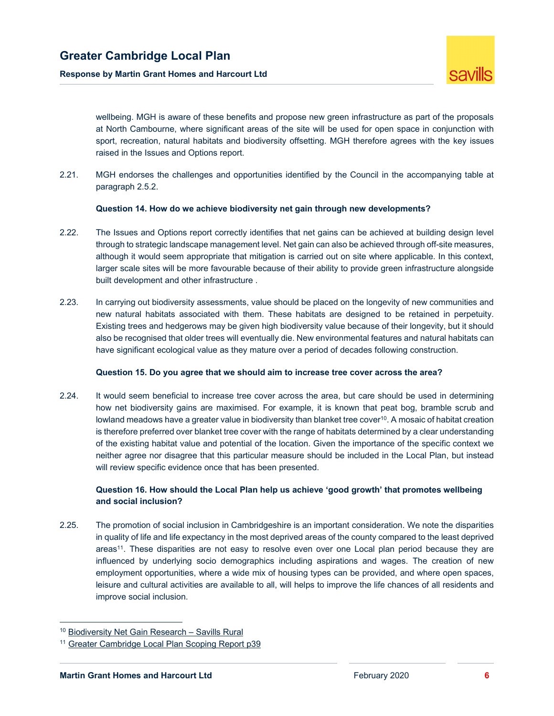

wellbeing. MGH is aware of these benefits and propose new green infrastructure as part of the proposals at North Cambourne, where significant areas of the site will be used for open space in conjunction with sport, recreation, natural habitats and biodiversity offsetting. MGH therefore agrees with the key issues raised in the Issues and Options report.

2.21. MGH endorses the challenges and opportunities identified by the Council in the accompanying table at paragraph 2.5.2.

#### **Question 14. How do we achieve biodiversity net gain through new developments?**

- 2.22. The Issues and Options report correctly identifies that net gains can be achieved at building design level through to strategic landscape management level. Net gain can also be achieved through off-site measures, although it would seem appropriate that mitigation is carried out on site where applicable. In this context, larger scale sites will be more favourable because of their ability to provide green infrastructure alongside built development and other infrastructure .
- 2.23. In carrying out biodiversity assessments, value should be placed on the longevity of new communities and new natural habitats associated with them. These habitats are designed to be retained in perpetuity. Existing trees and hedgerows may be given high biodiversity value because of their longevity, but it should also be recognised that older trees will eventually die. New environmental features and natural habitats can have significant ecological value as they mature over a period of decades following construction.

### **Question 15. Do you agree that we should aim to increase tree cover across the area?**

2.24. It would seem beneficial to increase tree cover across the area, but care should be used in determining how net biodiversity gains are maximised. For example, it is known that peat bog, bramble scrub and lowland meadows have a greater value in biodiversity than blanket tree cover<sup>10</sup>. A mosaic of habitat creation is therefore preferred over blanket tree cover with the range of habitats determined by a clear understanding of the existing habitat value and potential of the location. Given the importance of the specific context we neither agree nor disagree that this particular measure should be included in the Local Plan, but instead will review specific evidence once that has been presented.

### **Question 16. How should the Local Plan help us achieve 'good growth' that promotes wellbeing and social inclusion?**

2.25. The promotion of social inclusion in Cambridgeshire is an important consideration. We note the disparities in quality of life and life expectancy in the most deprived areas of the county compared to the least deprived areas<sup>11</sup>. These disparities are not easy to resolve even over one Local plan period because they are influenced by underlying socio demographics including aspirations and wages. The creation of new employment opportunities, where a wide mix of housing types can be provided, and where open spaces, leisure and cultural activities are available to all, will helps to improve the life chances of all residents and improve social inclusion.

<sup>10</sup> Biodiversity Net Gain Research – Savills Rural

<sup>&</sup>lt;sup>11</sup> Greater Cambridge Local Plan Scoping Report p39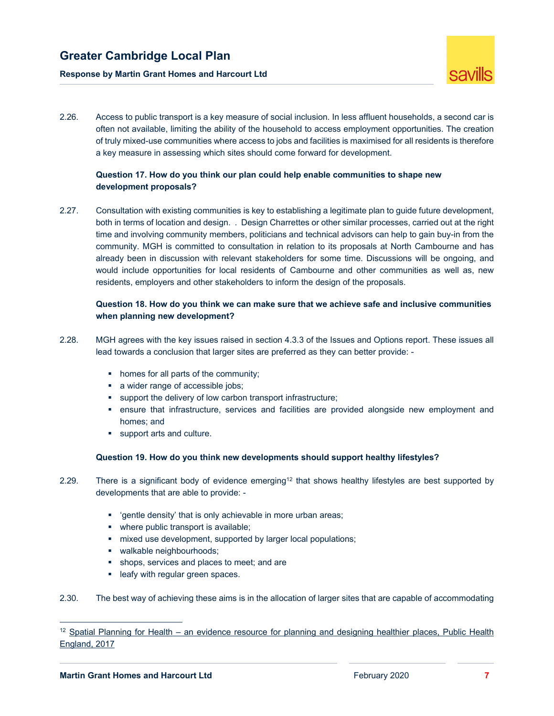### **Response by Martin Grant Homes and Harcourt Ltd**



2.26. Access to public transport is a key measure of social inclusion. In less affluent households, a second car is often not available, limiting the ability of the household to access employment opportunities. The creation of truly mixed-use communities where access to jobs and facilities is maximised for all residents is therefore a key measure in assessing which sites should come forward for development.

### **Question 17. How do you think our plan could help enable communities to shape new development proposals?**

2.27. Consultation with existing communities is key to establishing a legitimate plan to guide future development, both in terms of location and design. . Design Charrettes or other similar processes, carried out at the right time and involving community members, politicians and technical advisors can help to gain buy-in from the community. MGH is committed to consultation in relation to its proposals at North Cambourne and has already been in discussion with relevant stakeholders for some time. Discussions will be ongoing, and would include opportunities for local residents of Cambourne and other communities as well as, new residents, employers and other stakeholders to inform the design of the proposals.

### **Question 18. How do you think we can make sure that we achieve safe and inclusive communities when planning new development?**

- 2.28. MGH agrees with the key issues raised in section 4.3.3 of the Issues and Options report. These issues all lead towards a conclusion that larger sites are preferred as they can better provide: -
	- homes for all parts of the community;
	- a wider range of accessible jobs;
	- support the delivery of low carbon transport infrastructure;
	- ensure that infrastructure, services and facilities are provided alongside new employment and homes; and
	- support arts and culture.

### **Question 19. How do you think new developments should support healthy lifestyles?**

- 2.29. There is a significant body of evidence emerging<sup>12</sup> that shows healthy lifestyles are best supported by developments that are able to provide: -
	- 'gentle density' that is only achievable in more urban areas;
	- where public transport is available;
	- mixed use development, supported by larger local populations;
	- **walkable neighbourhoods;**
	- shops, services and places to meet; and are
	- **Example 1** leafy with regular green spaces.
- 2.30. The best way of achieving these aims is in the allocation of larger sites that are capable of accommodating

 $12$  Spatial Planning for Health – an evidence resource for planning and designing healthier places, Public Health England, 2017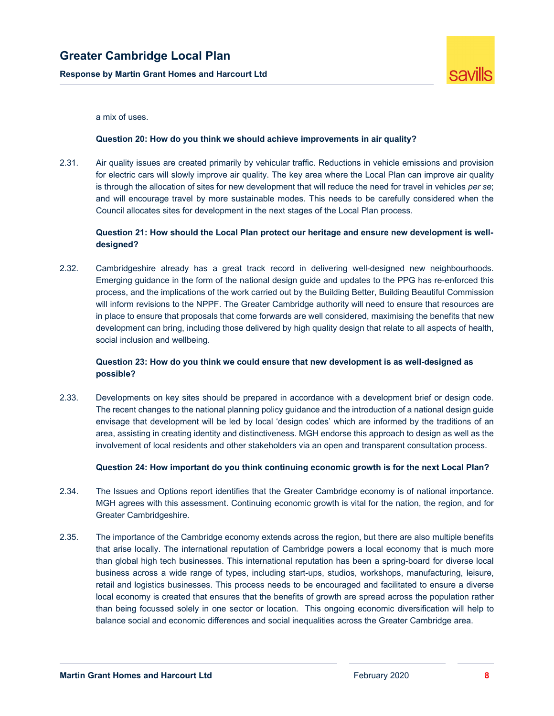**Response by Martin Grant Homes and Harcourt Ltd** 



a mix of uses.

#### **Question 20: How do you think we should achieve improvements in air quality?**

2.31. Air quality issues are created primarily by vehicular traffic. Reductions in vehicle emissions and provision for electric cars will slowly improve air quality. The key area where the Local Plan can improve air quality is through the allocation of sites for new development that will reduce the need for travel in vehicles *per se*; and will encourage travel by more sustainable modes. This needs to be carefully considered when the Council allocates sites for development in the next stages of the Local Plan process.

### **Question 21: How should the Local Plan protect our heritage and ensure new development is welldesigned?**

2.32. Cambridgeshire already has a great track record in delivering well-designed new neighbourhoods. Emerging guidance in the form of the national design guide and updates to the PPG has re-enforced this process, and the implications of the work carried out by the Building Better, Building Beautiful Commission will inform revisions to the NPPF. The Greater Cambridge authority will need to ensure that resources are in place to ensure that proposals that come forwards are well considered, maximising the benefits that new development can bring, including those delivered by high quality design that relate to all aspects of health, social inclusion and wellbeing.

### **Question 23: How do you think we could ensure that new development is as well-designed as possible?**

2.33. Developments on key sites should be prepared in accordance with a development brief or design code. The recent changes to the national planning policy guidance and the introduction of a national design guide envisage that development will be led by local 'design codes' which are informed by the traditions of an area, assisting in creating identity and distinctiveness. MGH endorse this approach to design as well as the involvement of local residents and other stakeholders via an open and transparent consultation process.

### **Question 24: How important do you think continuing economic growth is for the next Local Plan?**

- 2.34. The Issues and Options report identifies that the Greater Cambridge economy is of national importance. MGH agrees with this assessment. Continuing economic growth is vital for the nation, the region, and for Greater Cambridgeshire.
- 2.35. The importance of the Cambridge economy extends across the region, but there are also multiple benefits that arise locally. The international reputation of Cambridge powers a local economy that is much more than global high tech businesses. This international reputation has been a spring-board for diverse local business across a wide range of types, including start-ups, studios, workshops, manufacturing, leisure, retail and logistics businesses. This process needs to be encouraged and facilitated to ensure a diverse local economy is created that ensures that the benefits of growth are spread across the population rather than being focussed solely in one sector or location. This ongoing economic diversification will help to balance social and economic differences and social inequalities across the Greater Cambridge area.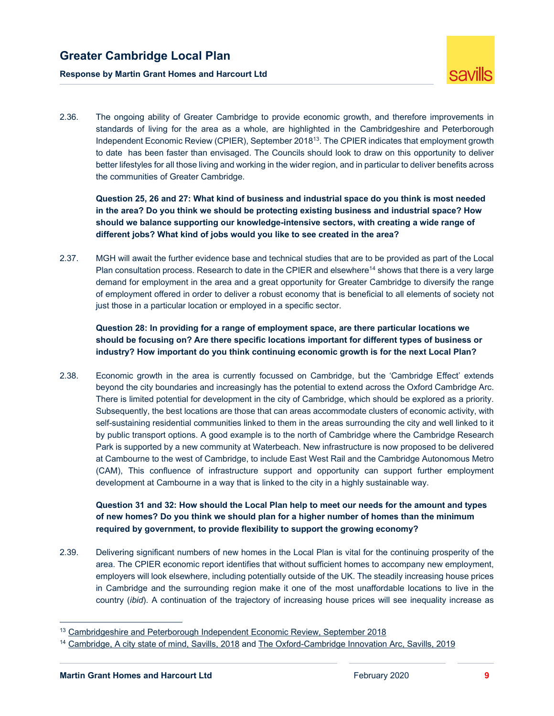



2.36. The ongoing ability of Greater Cambridge to provide economic growth, and therefore improvements in standards of living for the area as a whole, are highlighted in the Cambridgeshire and Peterborough Independent Economic Review (CPIER), September 201813. The CPIER indicates that employment growth to date has been faster than envisaged. The Councils should look to draw on this opportunity to deliver better lifestyles for all those living and working in the wider region, and in particular to deliver benefits across the communities of Greater Cambridge.

 **Question 25, 26 and 27: What kind of business and industrial space do you think is most needed in the area? Do you think we should be protecting existing business and industrial space? How should we balance supporting our knowledge-intensive sectors, with creating a wide range of different jobs? What kind of jobs would you like to see created in the area?** 

2.37. MGH will await the further evidence base and technical studies that are to be provided as part of the Local Plan consultation process. Research to date in the CPIER and elsewhere<sup>14</sup> shows that there is a very large demand for employment in the area and a great opportunity for Greater Cambridge to diversify the range of employment offered in order to deliver a robust economy that is beneficial to all elements of society not just those in a particular location or employed in a specific sector.

 **Question 28: In providing for a range of employment space, are there particular locations we should be focusing on? Are there specific locations important for different types of business or industry? How important do you think continuing economic growth is for the next Local Plan?** 

2.38. Economic growth in the area is currently focussed on Cambridge, but the 'Cambridge Effect' extends beyond the city boundaries and increasingly has the potential to extend across the Oxford Cambridge Arc. There is limited potential for development in the city of Cambridge, which should be explored as a priority. Subsequently, the best locations are those that can areas accommodate clusters of economic activity, with self-sustaining residential communities linked to them in the areas surrounding the city and well linked to it by public transport options. A good example is to the north of Cambridge where the Cambridge Research Park is supported by a new community at Waterbeach. New infrastructure is now proposed to be delivered at Cambourne to the west of Cambridge, to include East West Rail and the Cambridge Autonomous Metro (CAM), This confluence of infrastructure support and opportunity can support further employment development at Cambourne in a way that is linked to the city in a highly sustainable way.

### **Question 31 and 32: How should the Local Plan help to meet our needs for the amount and types of new homes? Do you think we should plan for a higher number of homes than the minimum required by government, to provide flexibility to support the growing economy?**

2.39. Delivering significant numbers of new homes in the Local Plan is vital for the continuing prosperity of the area. The CPIER economic report identifies that without sufficient homes to accompany new employment, employers will look elsewhere, including potentially outside of the UK. The steadily increasing house prices in Cambridge and the surrounding region make it one of the most unaffordable locations to live in the country (*ibid*). A continuation of the trajectory of increasing house prices will see inequality increase as

<sup>&</sup>lt;sup>13</sup> Cambridgeshire and Peterborough Independent Economic Review, September 2018

<sup>14</sup> Cambridge, A city state of mind, Savills, 2018 and The Oxford-Cambridge Innovation Arc, Savills, 2019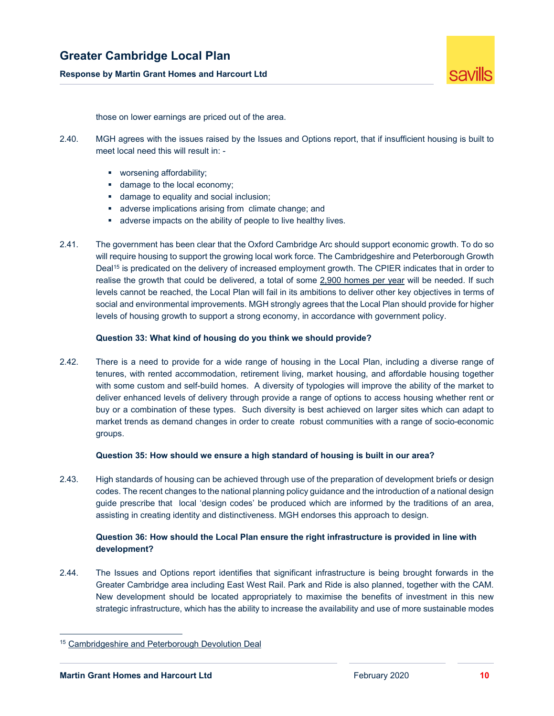

those on lower earnings are priced out of the area.

- 2.40. MGH agrees with the issues raised by the Issues and Options report, that if insufficient housing is built to meet local need this will result in:
	- **worsening affordability;**
	- damage to the local economy;
	- **damage to equality and social inclusion;**
	- **a** adverse implications arising from climate change; and
	- adverse impacts on the ability of people to live healthy lives.
- 2.41. The government has been clear that the Oxford Cambridge Arc should support economic growth. To do so will require housing to support the growing local work force. The Cambridgeshire and Peterborough Growth Deal15 is predicated on the delivery of increased employment growth. The CPIER indicates that in order to realise the growth that could be delivered, a total of some 2,900 homes per year will be needed. If such levels cannot be reached, the Local Plan will fail in its ambitions to deliver other key objectives in terms of social and environmental improvements. MGH strongly agrees that the Local Plan should provide for higher levels of housing growth to support a strong economy, in accordance with government policy.

### **Question 33: What kind of housing do you think we should provide?**

2.42. There is a need to provide for a wide range of housing in the Local Plan, including a diverse range of tenures, with rented accommodation, retirement living, market housing, and affordable housing together with some custom and self-build homes. A diversity of typologies will improve the ability of the market to deliver enhanced levels of delivery through provide a range of options to access housing whether rent or buy or a combination of these types. Such diversity is best achieved on larger sites which can adapt to market trends as demand changes in order to create robust communities with a range of socio-economic groups.

#### **Question 35: How should we ensure a high standard of housing is built in our area?**

2.43. High standards of housing can be achieved through use of the preparation of development briefs or design codes. The recent changes to the national planning policy guidance and the introduction of a national design guide prescribe that local 'design codes' be produced which are informed by the traditions of an area, assisting in creating identity and distinctiveness. MGH endorses this approach to design.

### **Question 36: How should the Local Plan ensure the right infrastructure is provided in line with development?**

2.44. The Issues and Options report identifies that significant infrastructure is being brought forwards in the Greater Cambridge area including East West Rail. Park and Ride is also planned, together with the CAM. New development should be located appropriately to maximise the benefits of investment in this new strategic infrastructure, which has the ability to increase the availability and use of more sustainable modes

-

<sup>15</sup> Cambridgeshire and Peterborough Devolution Deal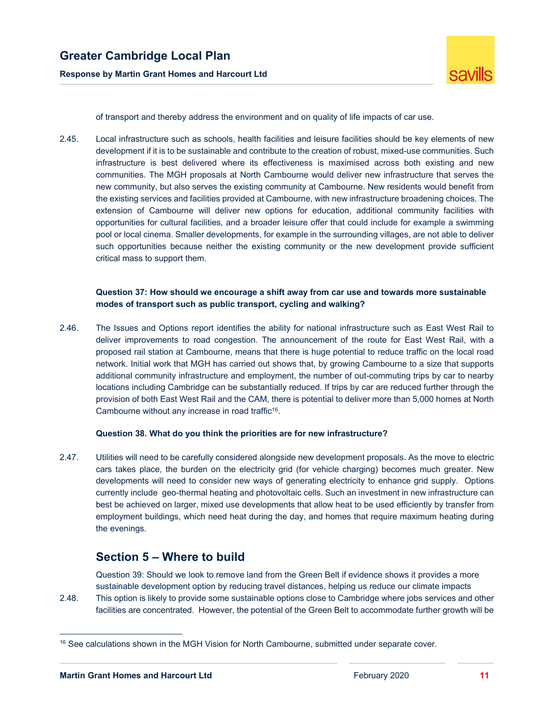

of transport and thereby address the environment and on quality of life impacts of car use.

2.45. Local infrastructure such as schools, health facilities and leisure facilities should be key elements of new development if it is to be sustainable and contribute to the creation of robust, mixed-use communities. Such infrastructure is best delivered where its effectiveness is maximised across both existing and new communities. The MGH proposals at North Cambourne would deliver new infrastructure that serves the new community, but also serves the existing community at Cambourne. New residents would benefit from the existing services and facilities provided at Cambourne, with new infrastructure broadening choices. The extension of Cambourne will deliver new options for education, additional community facilities with opportunities for cultural facilities, and a broader leisure offer that could include for example a swimming pool or local cinema. Smaller developments, for example in the surrounding villages, are not able to deliver such opportunities because neither the existing community or the new development provide sufficient critical mass to support them.

### **Question 37: How should we encourage a shift away from car use and towards more sustainable modes of transport such as public transport, cycling and walking?**

2.46. The Issues and Options report identifies the ability for national infrastructure such as East West Rail to deliver improvements to road congestion. The announcement of the route for East West Rail, with a proposed rail station at Cambourne, means that there is huge potential to reduce traffic on the local road network. Initial work that MGH has carried out shows that, by growing Cambourne to a size that supports additional community infrastructure and employment, the number of out-commuting trips by car to nearby locations including Cambridge can be substantially reduced. If trips by car are reduced further through the provision of both East West Rail and the CAM, there is potential to deliver more than 5,000 homes at North Cambourne without any increase in road traffic<sup>16</sup>.

### **Question 38. What do you think the priorities are for new infrastructure?**

2.47. Utilities will need to be carefully considered alongside new development proposals. As the move to electric cars takes place, the burden on the electricity grid (for vehicle charging) becomes much greater. New developments will need to consider new ways of generating electricity to enhance grid supply. Options currently include geo-thermal heating and photovoltaic cells. Such an investment in new infrastructure can best be achieved on larger, mixed use developments that allow heat to be used efficiently by transfer from employment buildings, which need heat during the day, and homes that require maximum heating during the evenings.

### **Section 5 – Where to build**

Question 39: Should we look to remove land from the Green Belt if evidence shows it provides a more sustainable development option by reducing travel distances, helping us reduce our climate impacts 2.48. This option is likely to provide some sustainable options close to Cambridge where jobs services and other facilities are concentrated. However, the potential of the Green Belt to accommodate further growth will be

-

<sup>&</sup>lt;sup>16</sup> See calculations shown in the MGH Vision for North Cambourne, submitted under separate cover.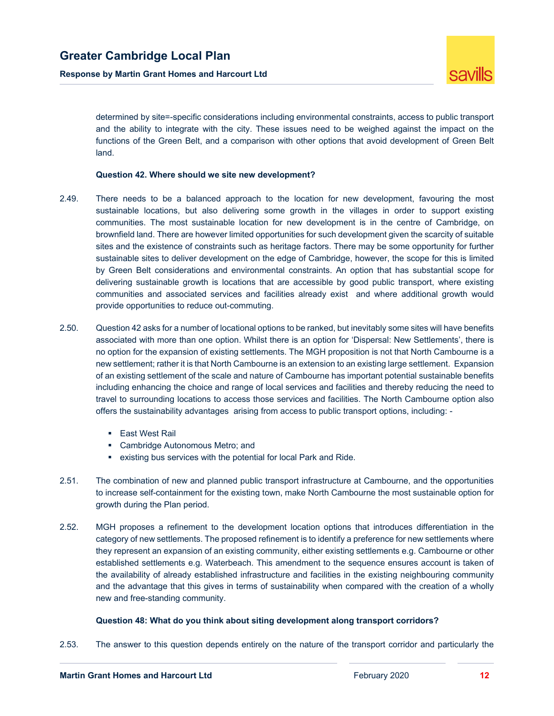

determined by site=-specific considerations including environmental constraints, access to public transport and the ability to integrate with the city. These issues need to be weighed against the impact on the functions of the Green Belt, and a comparison with other options that avoid development of Green Belt land.

### **Question 42. Where should we site new development?**

- 2.49. There needs to be a balanced approach to the location for new development, favouring the most sustainable locations, but also delivering some growth in the villages in order to support existing communities. The most sustainable location for new development is in the centre of Cambridge, on brownfield land. There are however limited opportunities for such development given the scarcity of suitable sites and the existence of constraints such as heritage factors. There may be some opportunity for further sustainable sites to deliver development on the edge of Cambridge, however, the scope for this is limited by Green Belt considerations and environmental constraints. An option that has substantial scope for delivering sustainable growth is locations that are accessible by good public transport, where existing communities and associated services and facilities already exist and where additional growth would provide opportunities to reduce out-commuting.
- 2.50. Question 42 asks for a number of locational options to be ranked, but inevitably some sites will have benefits associated with more than one option. Whilst there is an option for 'Dispersal: New Settlements', there is no option for the expansion of existing settlements. The MGH proposition is not that North Cambourne is a new settlement; rather it is that North Cambourne is an extension to an existing large settlement. Expansion of an existing settlement of the scale and nature of Cambourne has important potential sustainable benefits including enhancing the choice and range of local services and facilities and thereby reducing the need to travel to surrounding locations to access those services and facilities. The North Cambourne option also offers the sustainability advantages arising from access to public transport options, including: -
	- **East West Rail**
	- **EXEC** Cambridge Autonomous Metro; and
	- existing bus services with the potential for local Park and Ride.
- 2.51. The combination of new and planned public transport infrastructure at Cambourne, and the opportunities to increase self-containment for the existing town, make North Cambourne the most sustainable option for growth during the Plan period.
- 2.52. MGH proposes a refinement to the development location options that introduces differentiation in the category of new settlements. The proposed refinement is to identify a preference for new settlements where they represent an expansion of an existing community, either existing settlements e.g. Cambourne or other established settlements e.g. Waterbeach. This amendment to the sequence ensures account is taken of the availability of already established infrastructure and facilities in the existing neighbouring community and the advantage that this gives in terms of sustainability when compared with the creation of a wholly new and free-standing community.

### **Question 48: What do you think about siting development along transport corridors?**

2.53. The answer to this question depends entirely on the nature of the transport corridor and particularly the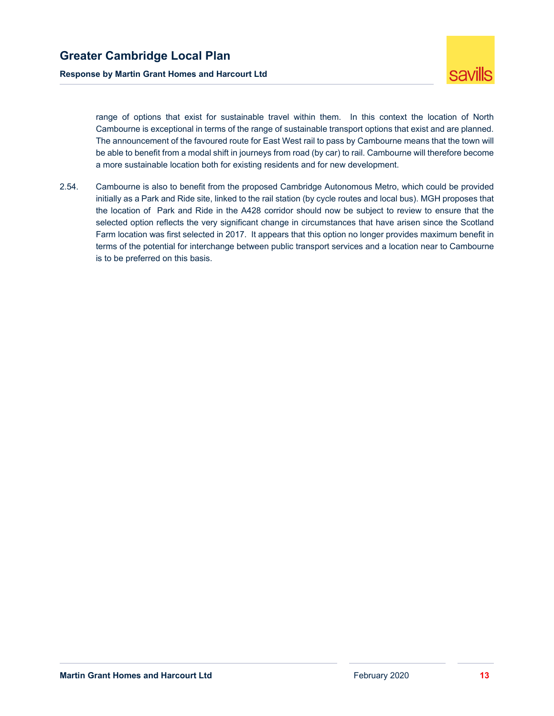

range of options that exist for sustainable travel within them. In this context the location of North Cambourne is exceptional in terms of the range of sustainable transport options that exist and are planned. The announcement of the favoured route for East West rail to pass by Cambourne means that the town will be able to benefit from a modal shift in journeys from road (by car) to rail. Cambourne will therefore become a more sustainable location both for existing residents and for new development.

2.54. Cambourne is also to benefit from the proposed Cambridge Autonomous Metro, which could be provided initially as a Park and Ride site, linked to the rail station (by cycle routes and local bus). MGH proposes that the location of Park and Ride in the A428 corridor should now be subject to review to ensure that the selected option reflects the very significant change in circumstances that have arisen since the Scotland Farm location was first selected in 2017. It appears that this option no longer provides maximum benefit in terms of the potential for interchange between public transport services and a location near to Cambourne is to be preferred on this basis.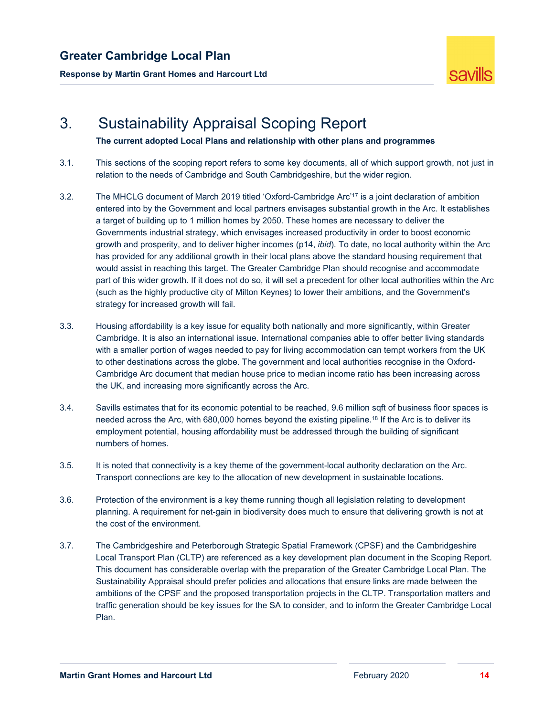**Response by Martin Grant Homes and Harcourt Ltd** 



# 3. Sustainability Appraisal Scoping Report

**The current adopted Local Plans and relationship with other plans and programmes** 

- 3.1. This sections of the scoping report refers to some key documents, all of which support growth, not just in relation to the needs of Cambridge and South Cambridgeshire, but the wider region.
- 3.2. The MHCLG document of March 2019 titled 'Oxford-Cambridge Arc'17 is a joint declaration of ambition entered into by the Government and local partners envisages substantial growth in the Arc. It establishes a target of building up to 1 million homes by 2050. These homes are necessary to deliver the Governments industrial strategy, which envisages increased productivity in order to boost economic growth and prosperity, and to deliver higher incomes (p14, *ibid*). To date, no local authority within the Arc has provided for any additional growth in their local plans above the standard housing requirement that would assist in reaching this target. The Greater Cambridge Plan should recognise and accommodate part of this wider growth. If it does not do so, it will set a precedent for other local authorities within the Arc (such as the highly productive city of Milton Keynes) to lower their ambitions, and the Government's strategy for increased growth will fail.
- 3.3. Housing affordability is a key issue for equality both nationally and more significantly, within Greater Cambridge. It is also an international issue. International companies able to offer better living standards with a smaller portion of wages needed to pay for living accommodation can tempt workers from the UK to other destinations across the globe. The government and local authorities recognise in the Oxford-Cambridge Arc document that median house price to median income ratio has been increasing across the UK, and increasing more significantly across the Arc.
- 3.4. Savills estimates that for its economic potential to be reached, 9.6 million sqft of business floor spaces is needed across the Arc, with 680,000 homes beyond the existing pipeline.18 If the Arc is to deliver its employment potential, housing affordability must be addressed through the building of significant numbers of homes.
- 3.5. It is noted that connectivity is a key theme of the government-local authority declaration on the Arc. Transport connections are key to the allocation of new development in sustainable locations.
- 3.6. Protection of the environment is a key theme running though all legislation relating to development planning. A requirement for net-gain in biodiversity does much to ensure that delivering growth is not at the cost of the environment.
- 3.7. The Cambridgeshire and Peterborough Strategic Spatial Framework (CPSF) and the Cambridgeshire Local Transport Plan (CLTP) are referenced as a key development plan document in the Scoping Report. This document has considerable overlap with the preparation of the Greater Cambridge Local Plan. The Sustainability Appraisal should prefer policies and allocations that ensure links are made between the ambitions of the CPSF and the proposed transportation projects in the CLTP. Transportation matters and traffic generation should be key issues for the SA to consider, and to inform the Greater Cambridge Local Plan.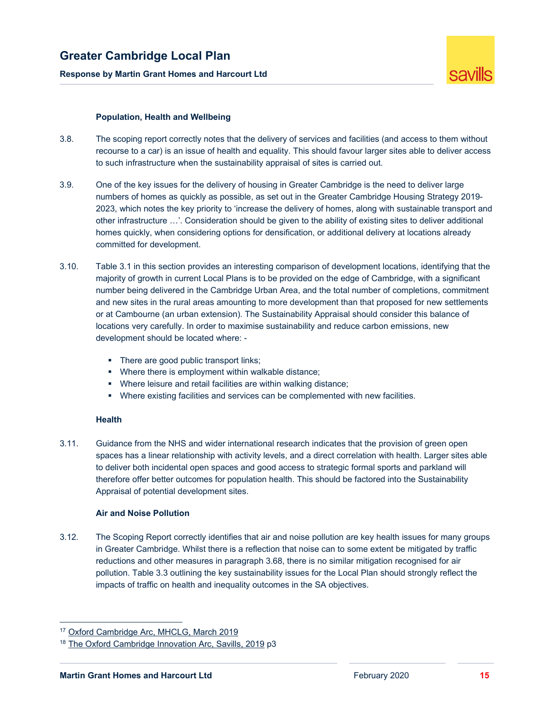

### **Population, Health and Wellbeing**

- 3.8. The scoping report correctly notes that the delivery of services and facilities (and access to them without recourse to a car) is an issue of health and equality. This should favour larger sites able to deliver access to such infrastructure when the sustainability appraisal of sites is carried out.
- 3.9. One of the key issues for the delivery of housing in Greater Cambridge is the need to deliver large numbers of homes as quickly as possible, as set out in the Greater Cambridge Housing Strategy 2019- 2023, which notes the key priority to 'increase the delivery of homes, along with sustainable transport and other infrastructure …'. Consideration should be given to the ability of existing sites to deliver additional homes quickly, when considering options for densification, or additional delivery at locations already committed for development.
- 3.10. Table 3.1 in this section provides an interesting comparison of development locations, identifying that the majority of growth in current Local Plans is to be provided on the edge of Cambridge, with a significant number being delivered in the Cambridge Urban Area, and the total number of completions, commitment and new sites in the rural areas amounting to more development than that proposed for new settlements or at Cambourne (an urban extension). The Sustainability Appraisal should consider this balance of locations very carefully. In order to maximise sustainability and reduce carbon emissions, new development should be located where: -
	- There are good public transport links:
	- **•** Where there is employment within walkable distance;
	- Where leisure and retail facilities are within walking distance;
	- Where existing facilities and services can be complemented with new facilities.

### **Health**

3.11. Guidance from the NHS and wider international research indicates that the provision of green open spaces has a linear relationship with activity levels, and a direct correlation with health. Larger sites able to deliver both incidental open spaces and good access to strategic formal sports and parkland will therefore offer better outcomes for population health. This should be factored into the Sustainability Appraisal of potential development sites.

### **Air and Noise Pollution**

3.12. The Scoping Report correctly identifies that air and noise pollution are key health issues for many groups in Greater Cambridge. Whilst there is a reflection that noise can to some extent be mitigated by traffic reductions and other measures in paragraph 3.68, there is no similar mitigation recognised for air pollution. Table 3.3 outlining the key sustainability issues for the Local Plan should strongly reflect the impacts of traffic on health and inequality outcomes in the SA objectives.

<sup>17</sup> Oxford Cambridge Arc, MHCLG, March 2019

<sup>&</sup>lt;sup>18</sup> The Oxford Cambridge Innovation Arc, Savills, 2019 p3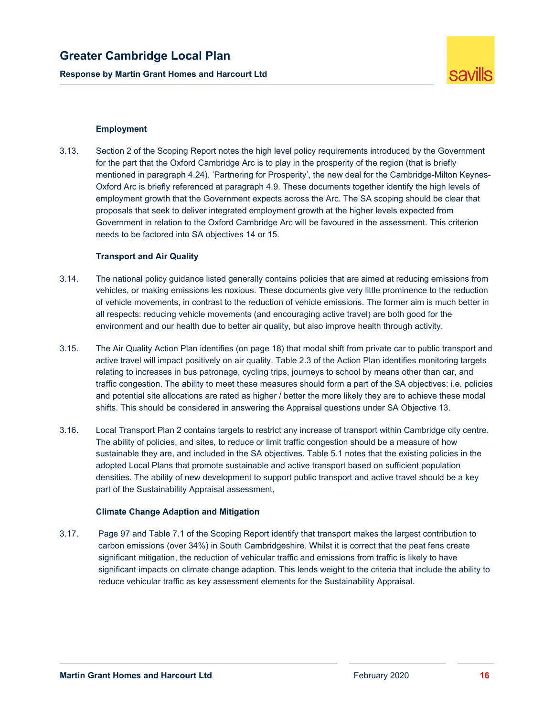**Response by Martin Grant Homes and Harcourt Ltd** 



### **Employment**

3.13. Section 2 of the Scoping Report notes the high level policy requirements introduced by the Government for the part that the Oxford Cambridge Arc is to play in the prosperity of the region (that is briefly mentioned in paragraph 4.24). 'Partnering for Prosperity', the new deal for the Cambridge-Milton Keynes-Oxford Arc is briefly referenced at paragraph 4.9. These documents together identify the high levels of employment growth that the Government expects across the Arc. The SA scoping should be clear that proposals that seek to deliver integrated employment growth at the higher levels expected from Government in relation to the Oxford Cambridge Arc will be favoured in the assessment. This criterion needs to be factored into SA objectives 14 or 15.

#### **Transport and Air Quality**

- 3.14. The national policy guidance listed generally contains policies that are aimed at reducing emissions from vehicles, or making emissions les noxious. These documents give very little prominence to the reduction of vehicle movements, in contrast to the reduction of vehicle emissions. The former aim is much better in all respects: reducing vehicle movements (and encouraging active travel) are both good for the environment and our health due to better air quality, but also improve health through activity.
- 3.15. The Air Quality Action Plan identifies (on page 18) that modal shift from private car to public transport and active travel will impact positively on air quality. Table 2.3 of the Action Plan identifies monitoring targets relating to increases in bus patronage, cycling trips, journeys to school by means other than car, and traffic congestion. The ability to meet these measures should form a part of the SA objectives: i.e. policies and potential site allocations are rated as higher / better the more likely they are to achieve these modal shifts. This should be considered in answering the Appraisal questions under SA Objective 13.
- 3.16. Local Transport Plan 2 contains targets to restrict any increase of transport within Cambridge city centre. The ability of policies, and sites, to reduce or limit traffic congestion should be a measure of how sustainable they are, and included in the SA objectives. Table 5.1 notes that the existing policies in the adopted Local Plans that promote sustainable and active transport based on sufficient population densities. The ability of new development to support public transport and active travel should be a key part of the Sustainability Appraisal assessment,

### **Climate Change Adaption and Mitigation**

3.17. Page 97 and Table 7.1 of the Scoping Report identify that transport makes the largest contribution to carbon emissions (over 34%) in South Cambridgeshire. Whilst it is correct that the peat fens create significant mitigation, the reduction of vehicular traffic and emissions from traffic is likely to have significant impacts on climate change adaption. This lends weight to the criteria that include the ability to reduce vehicular traffic as key assessment elements for the Sustainability Appraisal.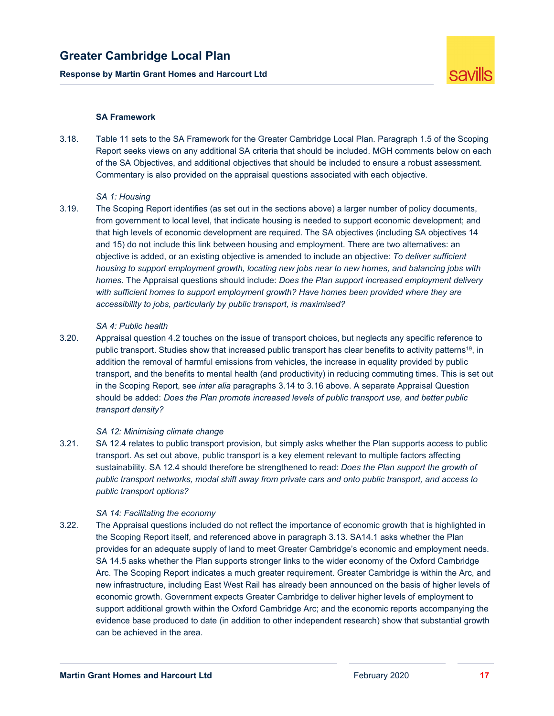**Response by Martin Grant Homes and Harcourt Ltd** 



### **SA Framework**

3.18. Table 11 sets to the SA Framework for the Greater Cambridge Local Plan. Paragraph 1.5 of the Scoping Report seeks views on any additional SA criteria that should be included. MGH comments below on each of the SA Objectives, and additional objectives that should be included to ensure a robust assessment. Commentary is also provided on the appraisal questions associated with each objective.

### *SA 1: Housing*

3.19. The Scoping Report identifies (as set out in the sections above) a larger number of policy documents, from government to local level, that indicate housing is needed to support economic development; and that high levels of economic development are required. The SA objectives (including SA objectives 14 and 15) do not include this link between housing and employment. There are two alternatives: an objective is added, or an existing objective is amended to include an objective: *To deliver sufficient housing to support employment growth, locating new jobs near to new homes, and balancing jobs with homes.* The Appraisal questions should include: *Does the Plan support increased employment delivery*  with sufficient homes to support employment growth? Have homes been provided where they are *accessibility to jobs, particularly by public transport, is maximised?*

#### *SA 4: Public health*

3.20. Appraisal question 4.2 touches on the issue of transport choices, but neglects any specific reference to public transport. Studies show that increased public transport has clear benefits to activity patterns19, in addition the removal of harmful emissions from vehicles, the increase in equality provided by public transport, and the benefits to mental health (and productivity) in reducing commuting times. This is set out in the Scoping Report, see *inter alia* paragraphs 3.14 to 3.16 above. A separate Appraisal Question should be added: *Does the Plan promote increased levels of public transport use, and better public transport density?*

### *SA 12: Minimising climate change*

3.21. SA 12.4 relates to public transport provision, but simply asks whether the Plan supports access to public transport. As set out above, public transport is a key element relevant to multiple factors affecting sustainability. SA 12.4 should therefore be strengthened to read: *Does the Plan support the growth of public transport networks, modal shift away from private cars and onto public transport, and access to public transport options?*

### *SA 14: Facilitating the economy*

3.22. The Appraisal questions included do not reflect the importance of economic growth that is highlighted in the Scoping Report itself, and referenced above in paragraph 3.13. SA14.1 asks whether the Plan provides for an adequate supply of land to meet Greater Cambridge's economic and employment needs. SA 14.5 asks whether the Plan supports stronger links to the wider economy of the Oxford Cambridge Arc. The Scoping Report indicates a much greater requirement. Greater Cambridge is within the Arc, and new infrastructure, including East West Rail has already been announced on the basis of higher levels of economic growth. Government expects Greater Cambridge to deliver higher levels of employment to support additional growth within the Oxford Cambridge Arc; and the economic reports accompanying the evidence base produced to date (in addition to other independent research) show that substantial growth can be achieved in the area.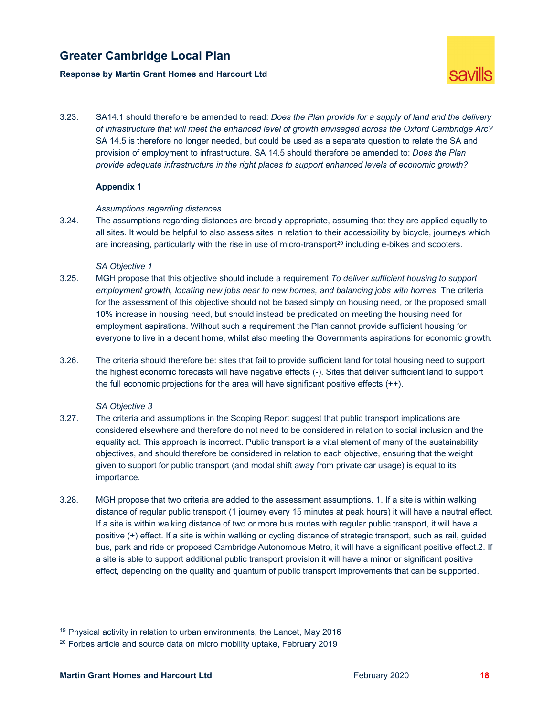### **Response by Martin Grant Homes and Harcourt Ltd**



3.23. SA14.1 should therefore be amended to read: *Does the Plan provide for a supply of land and the delivery of infrastructure that will meet the enhanced level of growth envisaged across the Oxford Cambridge Arc?*  SA 14.5 is therefore no longer needed, but could be used as a separate question to relate the SA and provision of employment to infrastructure. SA 14.5 should therefore be amended to: *Does the Plan provide adequate infrastructure in the right places to support enhanced levels of economic growth?*

### **Appendix 1**

### *Assumptions regarding distances*

3.24. The assumptions regarding distances are broadly appropriate, assuming that they are applied equally to all sites. It would be helpful to also assess sites in relation to their accessibility by bicycle, journeys which are increasing, particularly with the rise in use of micro-transport<sup>20</sup> including e-bikes and scooters.

#### *SA Objective 1*

- 3.25. MGH propose that this objective should include a requirement *To deliver sufficient housing to support employment growth, locating new jobs near to new homes, and balancing jobs with homes.* The criteria for the assessment of this objective should not be based simply on housing need, or the proposed small 10% increase in housing need, but should instead be predicated on meeting the housing need for employment aspirations. Without such a requirement the Plan cannot provide sufficient housing for everyone to live in a decent home, whilst also meeting the Governments aspirations for economic growth.
- 3.26. The criteria should therefore be: sites that fail to provide sufficient land for total housing need to support the highest economic forecasts will have negative effects (-). Sites that deliver sufficient land to support the full economic projections for the area will have significant positive effects (++).

#### *SA Objective 3*

- 3.27. The criteria and assumptions in the Scoping Report suggest that public transport implications are considered elsewhere and therefore do not need to be considered in relation to social inclusion and the equality act. This approach is incorrect. Public transport is a vital element of many of the sustainability objectives, and should therefore be considered in relation to each objective, ensuring that the weight given to support for public transport (and modal shift away from private car usage) is equal to its importance.
- 3.28. MGH propose that two criteria are added to the assessment assumptions. 1. If a site is within walking distance of regular public transport (1 journey every 15 minutes at peak hours) it will have a neutral effect. If a site is within walking distance of two or more bus routes with regular public transport, it will have a positive (+) effect. If a site is within walking or cycling distance of strategic transport, such as rail, guided bus, park and ride or proposed Cambridge Autonomous Metro, it will have a significant positive effect.2. If a site is able to support additional public transport provision it will have a minor or significant positive effect, depending on the quality and quantum of public transport improvements that can be supported.

 $19$  Physical activity in relation to urban environments, the Lancet, May 2016

 $20$  Forbes article and source data on micro mobility uptake, February 2019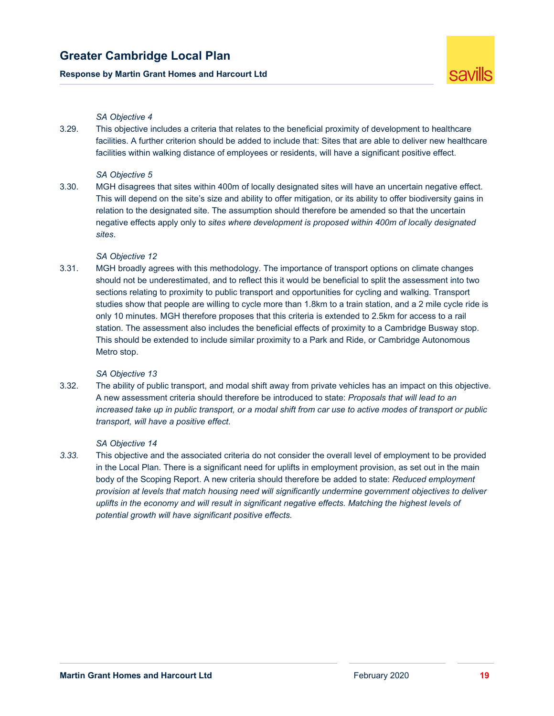### **Response by Martin Grant Homes and Harcourt Ltd**



### *SA Objective 4*

3.29. This objective includes a criteria that relates to the beneficial proximity of development to healthcare facilities. A further criterion should be added to include that: Sites that are able to deliver new healthcare facilities within walking distance of employees or residents, will have a significant positive effect.

### *SA Objective 5*

3.30. MGH disagrees that sites within 400m of locally designated sites will have an uncertain negative effect. This will depend on the site's size and ability to offer mitigation, or its ability to offer biodiversity gains in relation to the designated site. The assumption should therefore be amended so that the uncertain negative effects apply only to *sites where development is proposed within 400m of locally designated sites*.

### *SA Objective 12*

3.31. MGH broadly agrees with this methodology. The importance of transport options on climate changes should not be underestimated, and to reflect this it would be beneficial to split the assessment into two sections relating to proximity to public transport and opportunities for cycling and walking. Transport studies show that people are willing to cycle more than 1.8km to a train station, and a 2 mile cycle ride is only 10 minutes. MGH therefore proposes that this criteria is extended to 2.5km for access to a rail station. The assessment also includes the beneficial effects of proximity to a Cambridge Busway stop. This should be extended to include similar proximity to a Park and Ride, or Cambridge Autonomous Metro stop.

### *SA Objective 13*

3.32. The ability of public transport, and modal shift away from private vehicles has an impact on this objective. A new assessment criteria should therefore be introduced to state: *Proposals that will lead to an increased take up in public transport, or a modal shift from car use to active modes of transport or public transport, will have a positive effect.*

#### *SA Objective 14*

*3.33.* This objective and the associated criteria do not consider the overall level of employment to be provided in the Local Plan. There is a significant need for uplifts in employment provision, as set out in the main body of the Scoping Report. A new criteria should therefore be added to state: *Reduced employment provision at levels that match housing need will significantly undermine government objectives to deliver*  uplifts in the economy and will result in significant negative effects. Matching the highest levels of *potential growth will have significant positive effects.*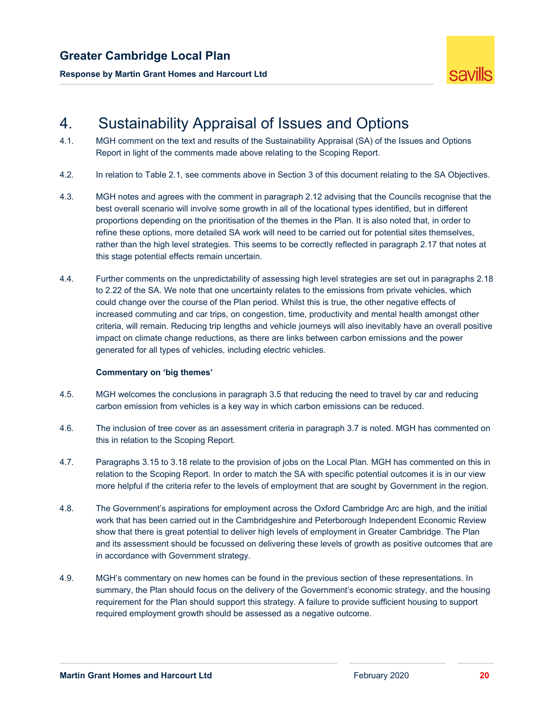



## 4. Sustainability Appraisal of Issues and Options

- 4.1. MGH comment on the text and results of the Sustainability Appraisal (SA) of the Issues and Options Report in light of the comments made above relating to the Scoping Report.
- 4.2. In relation to Table 2.1, see comments above in Section 3 of this document relating to the SA Objectives.
- 4.3. MGH notes and agrees with the comment in paragraph 2.12 advising that the Councils recognise that the best overall scenario will involve some growth in all of the locational types identified, but in different proportions depending on the prioritisation of the themes in the Plan. It is also noted that, in order to refine these options, more detailed SA work will need to be carried out for potential sites themselves, rather than the high level strategies. This seems to be correctly reflected in paragraph 2.17 that notes at this stage potential effects remain uncertain.
- 4.4. Further comments on the unpredictability of assessing high level strategies are set out in paragraphs 2.18 to 2.22 of the SA. We note that one uncertainty relates to the emissions from private vehicles, which could change over the course of the Plan period. Whilst this is true, the other negative effects of increased commuting and car trips, on congestion, time, productivity and mental health amongst other criteria, will remain. Reducing trip lengths and vehicle journeys will also inevitably have an overall positive impact on climate change reductions, as there are links between carbon emissions and the power generated for all types of vehicles, including electric vehicles.

#### **Commentary on 'big themes'**

- 4.5. MGH welcomes the conclusions in paragraph 3.5 that reducing the need to travel by car and reducing carbon emission from vehicles is a key way in which carbon emissions can be reduced.
- 4.6. The inclusion of tree cover as an assessment criteria in paragraph 3.7 is noted. MGH has commented on this in relation to the Scoping Report.
- 4.7. Paragraphs 3.15 to 3.18 relate to the provision of jobs on the Local Plan. MGH has commented on this in relation to the Scoping Report. In order to match the SA with specific potential outcomes it is in our view more helpful if the criteria refer to the levels of employment that are sought by Government in the region.
- 4.8. The Government's aspirations for employment across the Oxford Cambridge Arc are high, and the initial work that has been carried out in the Cambridgeshire and Peterborough Independent Economic Review show that there is great potential to deliver high levels of employment in Greater Cambridge. The Plan and its assessment should be focussed on delivering these levels of growth as positive outcomes that are in accordance with Government strategy.
- 4.9. MGH's commentary on new homes can be found in the previous section of these representations. In summary, the Plan should focus on the delivery of the Government's economic strategy, and the housing requirement for the Plan should support this strategy. A failure to provide sufficient housing to support required employment growth should be assessed as a negative outcome.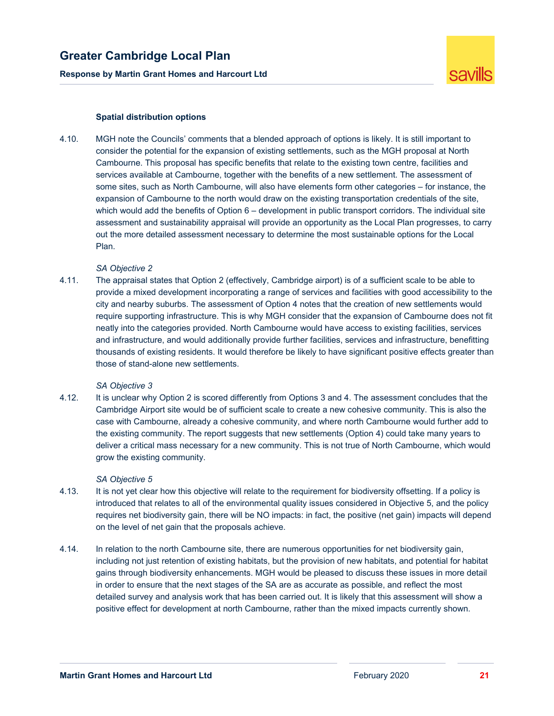

### **Spatial distribution options**

4.10. MGH note the Councils' comments that a blended approach of options is likely. It is still important to consider the potential for the expansion of existing settlements, such as the MGH proposal at North Cambourne. This proposal has specific benefits that relate to the existing town centre, facilities and services available at Cambourne, together with the benefits of a new settlement. The assessment of some sites, such as North Cambourne, will also have elements form other categories – for instance, the expansion of Cambourne to the north would draw on the existing transportation credentials of the site, which would add the benefits of Option 6 – development in public transport corridors. The individual site assessment and sustainability appraisal will provide an opportunity as the Local Plan progresses, to carry out the more detailed assessment necessary to determine the most sustainable options for the Local Plan.

### *SA Objective 2*

4.11. The appraisal states that Option 2 (effectively, Cambridge airport) is of a sufficient scale to be able to provide a mixed development incorporating a range of services and facilities with good accessibility to the city and nearby suburbs. The assessment of Option 4 notes that the creation of new settlements would require supporting infrastructure. This is why MGH consider that the expansion of Cambourne does not fit neatly into the categories provided. North Cambourne would have access to existing facilities, services and infrastructure, and would additionally provide further facilities, services and infrastructure, benefitting thousands of existing residents. It would therefore be likely to have significant positive effects greater than those of stand-alone new settlements.

#### *SA Objective 3*

4.12. It is unclear why Option 2 is scored differently from Options 3 and 4. The assessment concludes that the Cambridge Airport site would be of sufficient scale to create a new cohesive community. This is also the case with Cambourne, already a cohesive community, and where north Cambourne would further add to the existing community. The report suggests that new settlements (Option 4) could take many years to deliver a critical mass necessary for a new community. This is not true of North Cambourne, which would grow the existing community.

#### *SA Objective 5*

- 4.13. It is not yet clear how this objective will relate to the requirement for biodiversity offsetting. If a policy is introduced that relates to all of the environmental quality issues considered in Objective 5, and the policy requires net biodiversity gain, there will be NO impacts: in fact, the positive (net gain) impacts will depend on the level of net gain that the proposals achieve.
- 4.14. In relation to the north Cambourne site, there are numerous opportunities for net biodiversity gain, including not just retention of existing habitats, but the provision of new habitats, and potential for habitat gains through biodiversity enhancements. MGH would be pleased to discuss these issues in more detail in order to ensure that the next stages of the SA are as accurate as possible, and reflect the most detailed survey and analysis work that has been carried out. It is likely that this assessment will show a positive effect for development at north Cambourne, rather than the mixed impacts currently shown.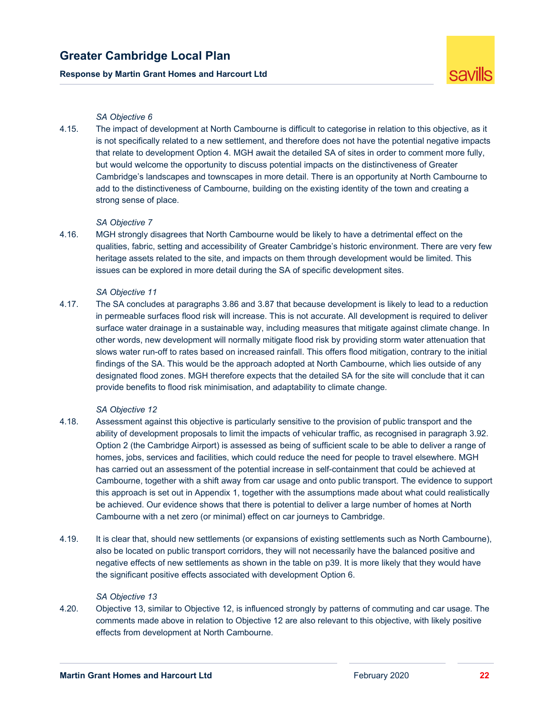### **Response by Martin Grant Homes and Harcourt Ltd**



### *SA Objective 6*

4.15. The impact of development at North Cambourne is difficult to categorise in relation to this objective, as it is not specifically related to a new settlement, and therefore does not have the potential negative impacts that relate to development Option 4. MGH await the detailed SA of sites in order to comment more fully, but would welcome the opportunity to discuss potential impacts on the distinctiveness of Greater Cambridge's landscapes and townscapes in more detail. There is an opportunity at North Cambourne to add to the distinctiveness of Cambourne, building on the existing identity of the town and creating a strong sense of place.

### *SA Objective 7*

4.16. MGH strongly disagrees that North Cambourne would be likely to have a detrimental effect on the qualities, fabric, setting and accessibility of Greater Cambridge's historic environment. There are very few heritage assets related to the site, and impacts on them through development would be limited. This issues can be explored in more detail during the SA of specific development sites.

#### *SA Objective 11*

4.17. The SA concludes at paragraphs 3.86 and 3.87 that because development is likely to lead to a reduction in permeable surfaces flood risk will increase. This is not accurate. All development is required to deliver surface water drainage in a sustainable way, including measures that mitigate against climate change. In other words, new development will normally mitigate flood risk by providing storm water attenuation that slows water run-off to rates based on increased rainfall. This offers flood mitigation, contrary to the initial findings of the SA. This would be the approach adopted at North Cambourne, which lies outside of any designated flood zones. MGH therefore expects that the detailed SA for the site will conclude that it can provide benefits to flood risk minimisation, and adaptability to climate change.

#### *SA Objective 12*

- 4.18. Assessment against this objective is particularly sensitive to the provision of public transport and the ability of development proposals to limit the impacts of vehicular traffic, as recognised in paragraph 3.92. Option 2 (the Cambridge Airport) is assessed as being of sufficient scale to be able to deliver a range of homes, jobs, services and facilities, which could reduce the need for people to travel elsewhere. MGH has carried out an assessment of the potential increase in self-containment that could be achieved at Cambourne, together with a shift away from car usage and onto public transport. The evidence to support this approach is set out in Appendix 1, together with the assumptions made about what could realistically be achieved. Our evidence shows that there is potential to deliver a large number of homes at North Cambourne with a net zero (or minimal) effect on car journeys to Cambridge.
- 4.19. It is clear that, should new settlements (or expansions of existing settlements such as North Cambourne), also be located on public transport corridors, they will not necessarily have the balanced positive and negative effects of new settlements as shown in the table on p39. It is more likely that they would have the significant positive effects associated with development Option 6.

#### *SA Objective 13*

4.20. Objective 13, similar to Objective 12, is influenced strongly by patterns of commuting and car usage. The comments made above in relation to Objective 12 are also relevant to this objective, with likely positive effects from development at North Cambourne.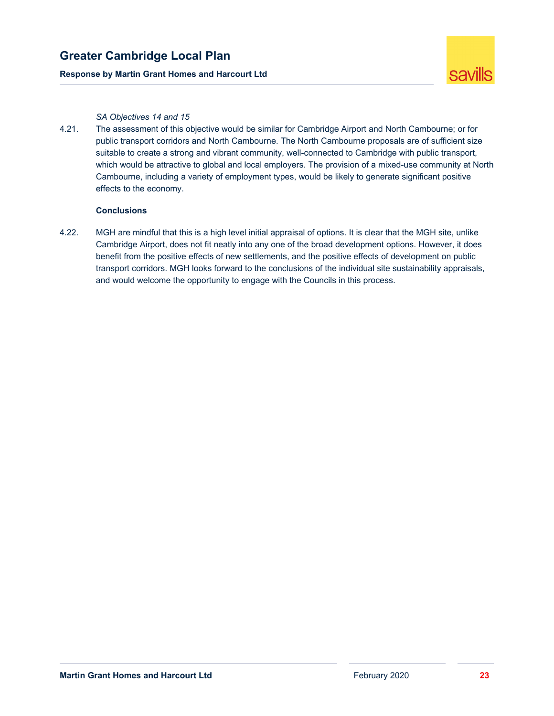### **Response by Martin Grant Homes and Harcourt Ltd**



### *SA Objectives 14 and 15*

4.21. The assessment of this objective would be similar for Cambridge Airport and North Cambourne; or for public transport corridors and North Cambourne. The North Cambourne proposals are of sufficient size suitable to create a strong and vibrant community, well-connected to Cambridge with public transport, which would be attractive to global and local employers. The provision of a mixed-use community at North Cambourne, including a variety of employment types, would be likely to generate significant positive effects to the economy.

### **Conclusions**

4.22. MGH are mindful that this is a high level initial appraisal of options. It is clear that the MGH site, unlike Cambridge Airport, does not fit neatly into any one of the broad development options. However, it does benefit from the positive effects of new settlements, and the positive effects of development on public transport corridors. MGH looks forward to the conclusions of the individual site sustainability appraisals, and would welcome the opportunity to engage with the Councils in this process.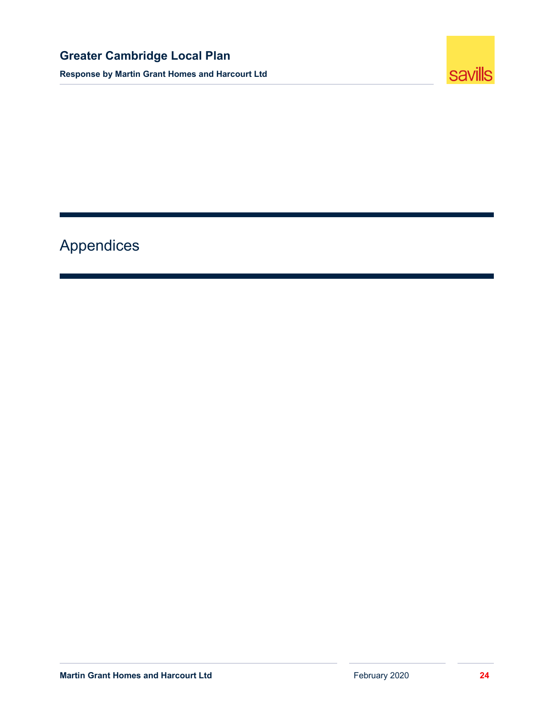**Response by Martin Grant Homes and Harcourt Ltd** 



# Appendices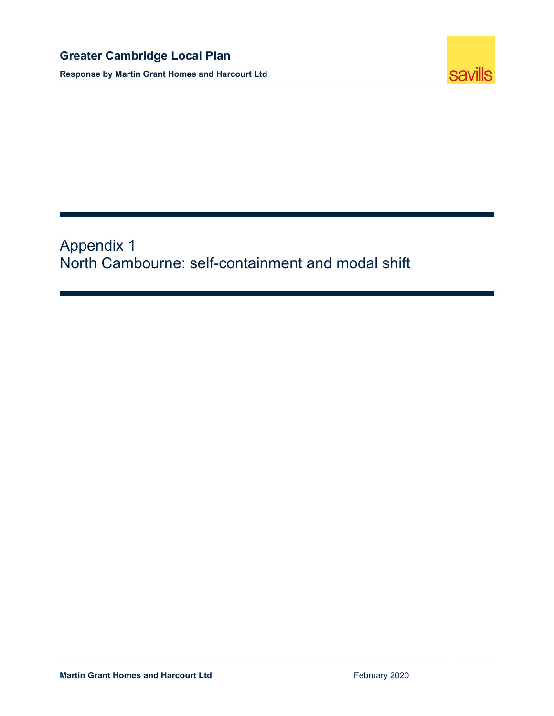

Appendix 1 North Cambourne: self-containment and modal shift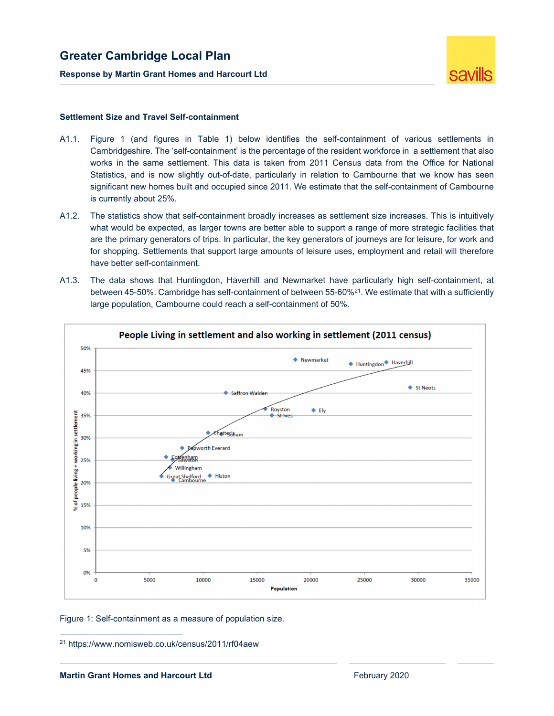

#### **Settlement Size and Travel Self-containment**

- A1.1. Figure 1 (and figures in Table 1) below identifies the self-containment of various settlements in Cambridgeshire. The 'self-containment' is the percentage of the resident workforce in a settlement that also works in the same settlement. This data is taken from 2011 Census data from the Office for National Statistics, and is now slightly out-of-date, particularly in relation to Cambourne that we know has seen significant new homes built and occupied since 2011. We estimate that the self-containment of Cambourne is currently about 25%.
- A1.2. The statistics show that self-containment broadly increases as settlement size increases. This is intuitively what would be expected, as larger towns are better able to support a range of more strategic facilities that are the primary generators of trips. In particular, the key generators of journeys are for leisure, for work and for shopping. Settlements that support large amounts of leisure uses, employment and retail will therefore have better self-containment.
- A1.3. The data shows that Huntingdon, Haverhill and Newmarket have particularly high self-containment, at between 45-50%. Cambridge has self-containment of between 55-60%<sup>21</sup>. We estimate that with a sufficiently large population, Cambourne could reach a self-containment of 50%.



Figure 1: Self-containment as a measure of population size.

<sup>21</sup> https://www.nomisweb.co.uk/census/2011/rf04aew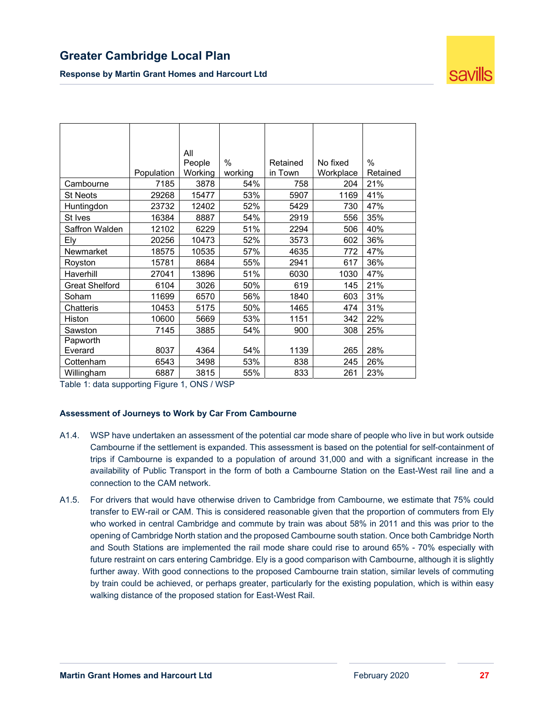

|                       |            | All     |         |          |           |          |
|-----------------------|------------|---------|---------|----------|-----------|----------|
|                       |            | People  | $\%$    | Retained | No fixed  | $\%$     |
|                       | Population | Working | working | in Town  | Workplace | Retained |
| Cambourne             | 7185       | 3878    | 54%     | 758      | 204       | 21%      |
| <b>St Neots</b>       | 29268      | 15477   | 53%     | 5907     | 1169      | 41%      |
| Huntingdon            | 23732      | 12402   | 52%     | 5429     | 730       | 47%      |
| St Ives               | 16384      | 8887    | 54%     | 2919     | 556       | 35%      |
| Saffron Walden        | 12102      | 6229    | 51%     | 2294     | 506       | 40%      |
| Elv                   | 20256      | 10473   | 52%     | 3573     | 602       | 36%      |
| Newmarket             | 18575      | 10535   | 57%     | 4635     | 772       | 47%      |
| Royston               | 15781      | 8684    | 55%     | 2941     | 617       | 36%      |
| Haverhill             | 27041      | 13896   | 51%     | 6030     | 1030      | 47%      |
| <b>Great Shelford</b> | 6104       | 3026    | 50%     | 619      | 145       | 21%      |
| Soham                 | 11699      | 6570    | 56%     | 1840     | 603       | 31%      |
| Chatteris             | 10453      | 5175    | 50%     | 1465     | 474       | 31%      |
| Histon                | 10600      | 5669    | 53%     | 1151     | 342       | 22%      |
| Sawston               | 7145       | 3885    | 54%     | 900      | 308       | 25%      |
| Papworth              |            |         |         |          |           |          |
| Everard               | 8037       | 4364    | 54%     | 1139     | 265       | 28%      |
| Cottenham             | 6543       | 3498    | 53%     | 838      | 245       | 26%      |
| Willingham            | 6887       | 3815    | 55%     | 833      | 261       | 23%      |

Table 1: data supporting Figure 1, ONS / WSP

### **Assessment of Journeys to Work by Car From Cambourne**

- A1.4. WSP have undertaken an assessment of the potential car mode share of people who live in but work outside Cambourne if the settlement is expanded. This assessment is based on the potential for self-containment of trips if Cambourne is expanded to a population of around 31,000 and with a significant increase in the availability of Public Transport in the form of both a Cambourne Station on the East-West rail line and a connection to the CAM network.
- A1.5. For drivers that would have otherwise driven to Cambridge from Cambourne, we estimate that 75% could transfer to EW-rail or CAM. This is considered reasonable given that the proportion of commuters from Ely who worked in central Cambridge and commute by train was about 58% in 2011 and this was prior to the opening of Cambridge North station and the proposed Cambourne south station. Once both Cambridge North and South Stations are implemented the rail mode share could rise to around 65% - 70% especially with future restraint on cars entering Cambridge. Ely is a good comparison with Cambourne, although it is slightly further away. With good connections to the proposed Cambourne train station, similar levels of commuting by train could be achieved, or perhaps greater, particularly for the existing population, which is within easy walking distance of the proposed station for East-West Rail.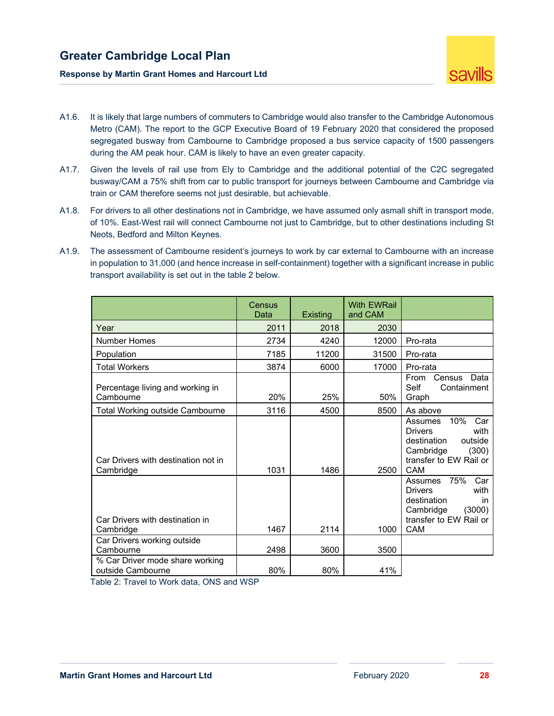

- A1.6. It is likely that large numbers of commuters to Cambridge would also transfer to the Cambridge Autonomous Metro (CAM). The report to the GCP Executive Board of 19 February 2020 that considered the proposed segregated busway from Cambourne to Cambridge proposed a bus service capacity of 1500 passengers during the AM peak hour. CAM is likely to have an even greater capacity.
- A1.7. Given the levels of rail use from Ely to Cambridge and the additional potential of the C2C segregated busway/CAM a 75% shift from car to public transport for journeys between Cambourne and Cambridge via train or CAM therefore seems not just desirable, but achievable.
- A1.8. For drivers to all other destinations not in Cambridge, we have assumed only asmall shift in transport mode, of 10%. East-West rail will connect Cambourne not just to Cambridge, but to other destinations including St Neots, Bedford and Milton Keynes.
- A1.9. The assessment of Cambourne resident's journeys to work by car external to Cambourne with an increase in population to 31,000 (and hence increase in self-containment) together with a significant increase in public transport availability is set out in the table 2 below.

|                                                      | Census<br>Data | <b>Existing</b> | <b>With EWRail</b><br>and CAM |                                                                                                                                            |
|------------------------------------------------------|----------------|-----------------|-------------------------------|--------------------------------------------------------------------------------------------------------------------------------------------|
| Year                                                 | 2011           | 2018            | 2030                          |                                                                                                                                            |
| <b>Number Homes</b>                                  | 2734           | 4240            | 12000                         | Pro-rata                                                                                                                                   |
| Population                                           | 7185           | 11200           | 31500                         | Pro-rata                                                                                                                                   |
| <b>Total Workers</b>                                 | 3874           | 6000            | 17000                         | Pro-rata                                                                                                                                   |
| Percentage living and working in<br>Cambourne        | 20%            | 25%             | 50%                           | From<br>Census<br>Data<br>Self<br>Containment<br>Graph                                                                                     |
| <b>Total Working outside Cambourne</b>               | 3116           | 4500            | 8500                          | As above                                                                                                                                   |
| Car Drivers with destination not in<br>Cambridge     | 1031           | 1486            | 2500                          | 10%<br>Car<br>Assumes<br><b>Drivers</b><br>with<br>destination<br>outside<br>(300)<br>Cambridge<br>transfer to EW Rail or<br>CAM           |
| Car Drivers with destination in<br>Cambridge         | 1467           | 2114            | 1000                          | 75%<br>Car<br>Assumes<br><b>Drivers</b><br>with<br>destination<br><i>in</i><br>(3000)<br>Cambridge<br>transfer to EW Rail or<br><b>CAM</b> |
| Car Drivers working outside                          |                |                 |                               |                                                                                                                                            |
| Cambourne                                            | 2498           | 3600            | 3500                          |                                                                                                                                            |
| % Car Driver mode share working<br>outside Cambourne | 80%            | 80%             | 41%                           |                                                                                                                                            |

Table 2: Travel to Work data, ONS and WSP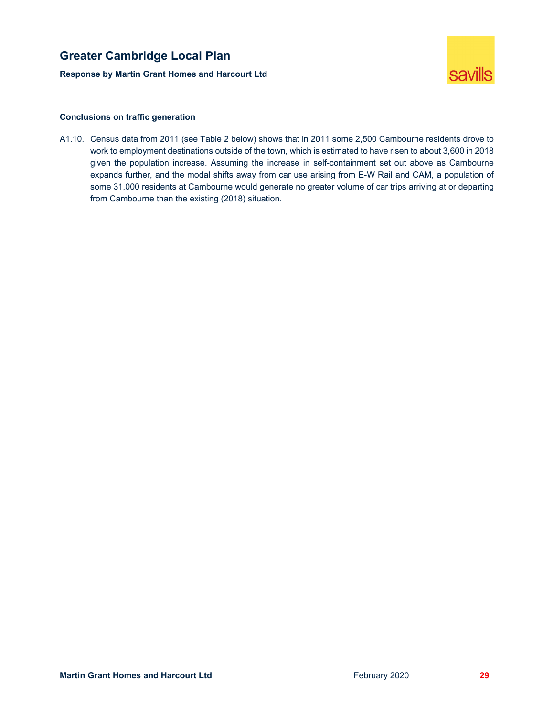

### **Conclusions on traffic generation**

A1.10. Census data from 2011 (see Table 2 below) shows that in 2011 some 2,500 Cambourne residents drove to work to employment destinations outside of the town, which is estimated to have risen to about 3,600 in 2018 given the population increase. Assuming the increase in self-containment set out above as Cambourne expands further, and the modal shifts away from car use arising from E-W Rail and CAM, a population of some 31,000 residents at Cambourne would generate no greater volume of car trips arriving at or departing from Cambourne than the existing (2018) situation.